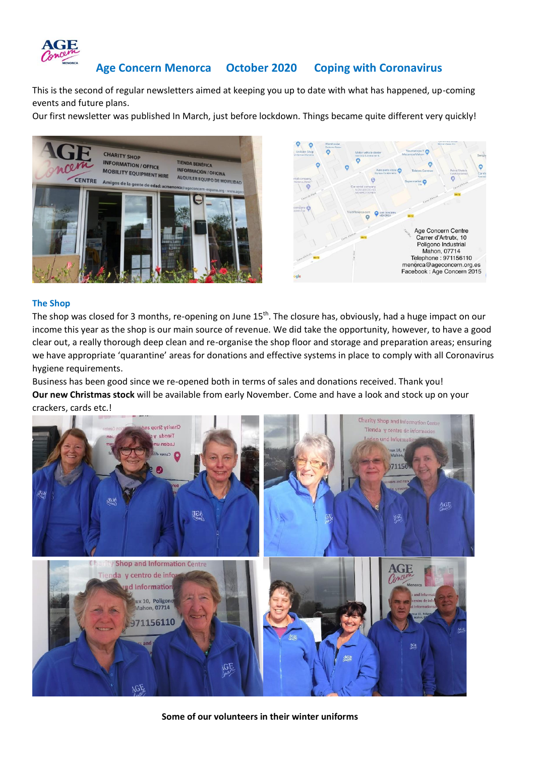

# **Age Concern Menorca October 2020 Coping with Coronavirus**

This is the second of regular newsletters aimed at keeping you up to date with what has happened, up-coming events and future plans.

Our first newsletter was published In March, just before lockdown. Things became quite different very quickly!



#### **The Shop**

The shop was closed for 3 months, re-opening on June 15<sup>th</sup>. The closure has, obviously, had a huge impact on our income this year as the shop is our main source of revenue. We did take the opportunity, however, to have a good clear out, a really thorough deep clean and re-organise the shop floor and storage and preparation areas; ensuring we have appropriate 'quarantine' areas for donations and effective systems in place to comply with all Coronavirus hygiene requirements.

Business has been good since we re-opened both in terms of sales and donations received. Thank you! **Our new Christmas stock** will be available from early November. Come and have a look and stock up on your crackers, cards etc.!



**Some of our volunteers in their winter uniforms**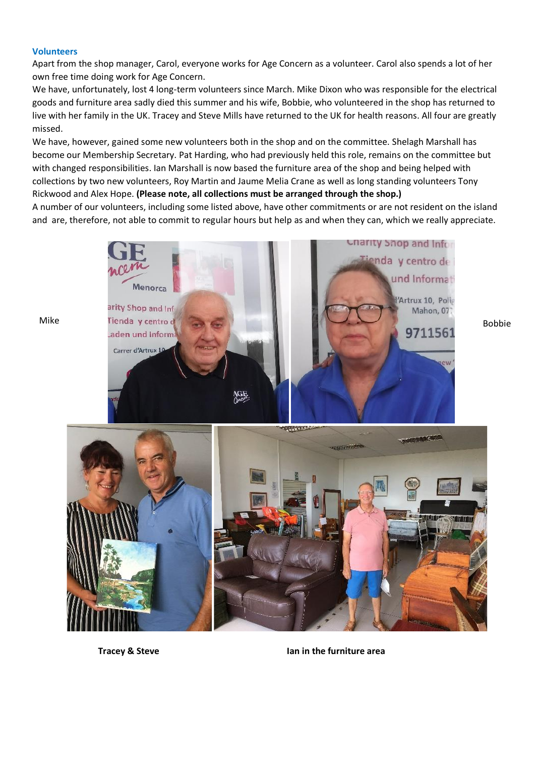### **Volunteers**

Apart from the shop manager, Carol, everyone works for Age Concern as a volunteer. Carol also spends a lot of her own free time doing work for Age Concern.

We have, unfortunately, lost 4 long-term volunteers since March. Mike Dixon who was responsible for the electrical goods and furniture area sadly died this summer and his wife, Bobbie, who volunteered in the shop has returned to live with her family in the UK. Tracey and Steve Mills have returned to the UK for health reasons. All four are greatly missed.

We have, however, gained some new volunteers both in the shop and on the committee. Shelagh Marshall has become our Membership Secretary. Pat Harding, who had previously held this role, remains on the committee but with changed responsibilities. Ian Marshall is now based the furniture area of the shop and being helped with collections by two new volunteers, Roy Martin and Jaume Melia Crane as well as long standing volunteers Tony Rickwood and Alex Hope. **(Please note, all collections must be arranged through the shop.)**

A number of our volunteers, including some listed above, have other commitments or are not resident on the island and are, therefore, not able to commit to regular hours but help as and when they can, which we really appreciate.





**Tracey & Steve Ian in the furniture area**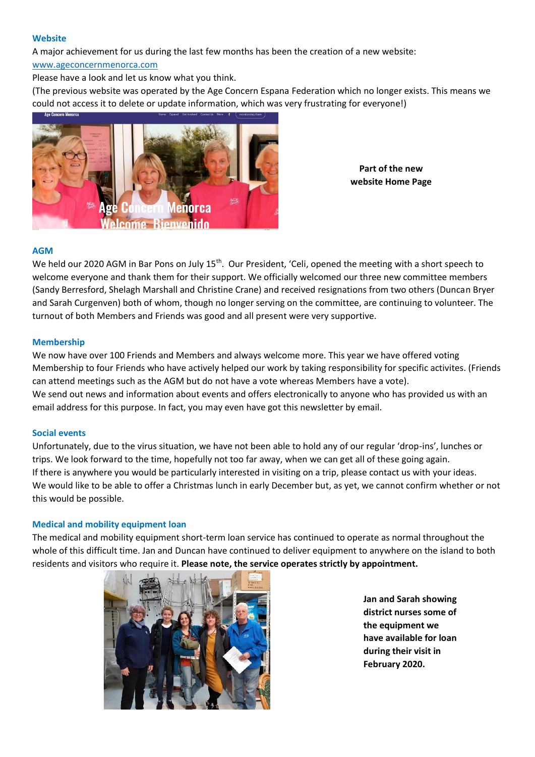### **Website**

A major achievement for us during the last few months has been the creation of a new website:

# [www.ageconcernmenorca.com](http://www.ageconcernmenorca.com/)

Please have a look and let us know what you think.

(The previous website was operated by the Age Concern Espana Federation which no longer exists. This means we could not access it to delete or update information, which was very frustrating for everyone!)



**Part of the new website Home Page**

# **AGM**

We held our 2020 AGM in Bar Pons on July 15<sup>th</sup>. Our President, 'Celi, opened the meeting with a short speech to welcome everyone and thank them for their support. We officially welcomed our three new committee members (Sandy Berresford, Shelagh Marshall and Christine Crane) and received resignations from two others (Duncan Bryer and Sarah Curgenven) both of whom, though no longer serving on the committee, are continuing to volunteer. The turnout of both Members and Friends was good and all present were very supportive.

### **Membership**

We now have over 100 Friends and Members and always welcome more. This year we have offered voting Membership to four Friends who have actively helped our work by taking responsibility for specific activites. (Friends can attend meetings such as the AGM but do not have a vote whereas Members have a vote). We send out news and information about events and offers electronically to anyone who has provided us with an email address for this purpose. In fact, you may even have got this newsletter by email.

# **Social events**

Unfortunately, due to the virus situation, we have not been able to hold any of our regular 'drop-ins', lunches or trips. We look forward to the time, hopefully not too far away, when we can get all of these going again. If there is anywhere you would be particularly interested in visiting on a trip, please contact us with your ideas. We would like to be able to offer a Christmas lunch in early December but, as yet, we cannot confirm whether or not this would be possible.

# **Medical and mobility equipment loan**

The medical and mobility equipment short-term loan service has continued to operate as normal throughout the whole of this difficult time. Jan and Duncan have continued to deliver equipment to anywhere on the island to both residents and visitors who require it. **Please note, the service operates strictly by appointment.**



**Jan and Sarah showing district nurses some of the equipment we have available for loan during their visit in February 2020.**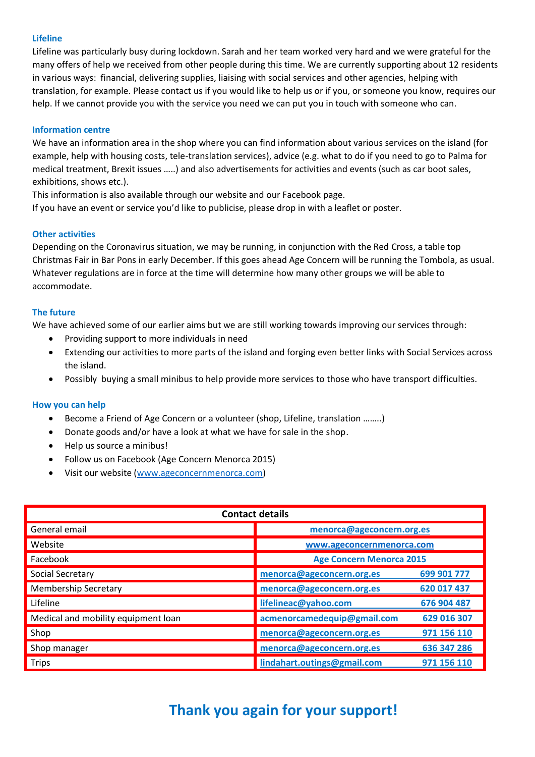# **Lifeline**

Lifeline was particularly busy during lockdown. Sarah and her team worked very hard and we were grateful for the many offers of help we received from other people during this time. We are currently supporting about 12 residents in various ways: financial, delivering supplies, liaising with social services and other agencies, helping with translation, for example. Please contact us if you would like to help us or if you, or someone you know, requires our help. If we cannot provide you with the service you need we can put you in touch with someone who can.

# **Information centre**

We have an information area in the shop where you can find information about various services on the island (for example, help with housing costs, tele-translation services), advice (e.g. what to do if you need to go to Palma for medical treatment, Brexit issues …..) and also advertisements for activities and events (such as car boot sales, exhibitions, shows etc.).

This information is also available through our website and our Facebook page. If you have an event or service you'd like to publicise, please drop in with a leaflet or poster.

# **Other activities**

Depending on the Coronavirus situation, we may be running, in conjunction with the Red Cross, a table top Christmas Fair in Bar Pons in early December. If this goes ahead Age Concern will be running the Tombola, as usual. Whatever regulations are in force at the time will determine how many other groups we will be able to accommodate.

# **The future**

We have achieved some of our earlier aims but we are still working towards improving our services through:

- Providing support to more individuals in need
- Extending our activities to more parts of the island and forging even better links with Social Services across the island.
- Possibly buying a small minibus to help provide more services to those who have transport difficulties.

# **How you can help**

- Become a Friend of Age Concern or a volunteer (shop, Lifeline, translation ……..)
- Donate goods and/or have a look at what we have for sale in the shop.
- Help us source a minibus!
- Follow us on Facebook (Age Concern Menorca 2015)
- Visit our website [\(www.ageconcernmenorca.com\)](http://www.ageconcernmenorca.com/)

| <b>Contact details</b>              |                                 |             |  |
|-------------------------------------|---------------------------------|-------------|--|
| General email                       | menorca@ageconcern.org.es       |             |  |
| Website                             | www.ageconcernmenorca.com       |             |  |
| Facebook                            | <b>Age Concern Menorca 2015</b> |             |  |
| Social Secretary                    | menorca@ageconcern.org.es       | 699 901 777 |  |
| <b>Membership Secretary</b>         | menorca@ageconcern.org.es       | 620 017 437 |  |
| Lifeline                            | lifelineac@yahoo.com            | 676 904 487 |  |
| Medical and mobility equipment loan | acmenorcamedequip@gmail.com     | 629 016 307 |  |
| Shop                                | menorca@ageconcern.org.es       | 971 156 110 |  |
| Shop manager                        | menorca@ageconcern.org.es       | 636 347 286 |  |
| <b>Trips</b>                        | lindahart.outings@gmail.com     | 971 156 110 |  |

# **Thank you again for your support!**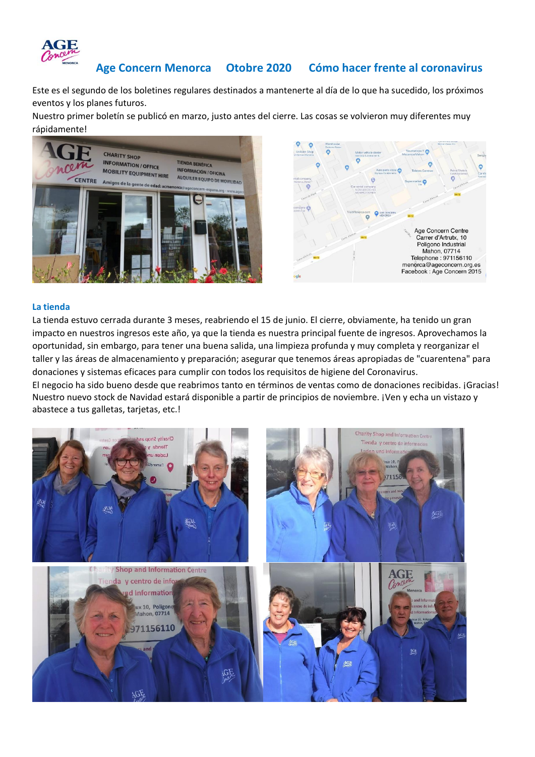

# **Age Concern Menorca Otobre 2020 Cómo hacer frente al coronavirus**

Este es el segundo de los boletines regulares destinados a mantenerte al día de lo que ha sucedido, los próximos eventos y los planes futuros.

Nuestro primer boletín se publicó en marzo, justo antes del cierre. Las cosas se volvieron muy diferentes muy rápidamente!



### **La tienda**

La tienda estuvo cerrada durante 3 meses, reabriendo el 15 de junio. El cierre, obviamente, ha tenido un gran impacto en nuestros ingresos este año, ya que la tienda es nuestra principal fuente de ingresos. Aprovechamos la oportunidad, sin embargo, para tener una buena salida, una limpieza profunda y muy completa y reorganizar el taller y las áreas de almacenamiento y preparación; asegurar que tenemos áreas apropiadas de "cuarentena" para donaciones y sistemas eficaces para cumplir con todos los requisitos de higiene del Coronavirus.

El negocio ha sido bueno desde que reabrimos tanto en términos de ventas como de donaciones recibidas. ¡Gracias! Nuestro nuevo stock de Navidad estará disponible a partir de principios de noviembre. ¡Ven y echa un vistazo y abastece a tus galletas, tarjetas, etc.!

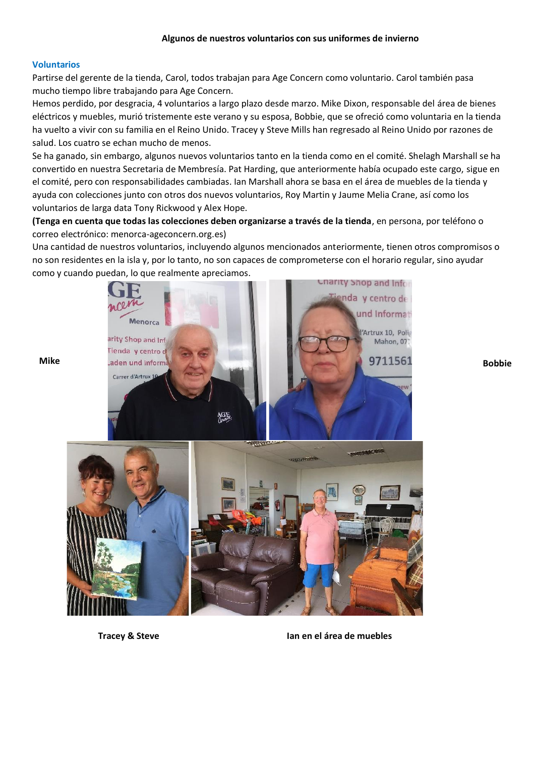# **Voluntarios**

Partirse del gerente de la tienda, Carol, todos trabajan para Age Concern como voluntario. Carol también pasa mucho tiempo libre trabajando para Age Concern.

Hemos perdido, por desgracia, 4 voluntarios a largo plazo desde marzo. Mike Dixon, responsable del área de bienes eléctricos y muebles, murió tristemente este verano y su esposa, Bobbie, que se ofreció como voluntaria en la tienda ha vuelto a vivir con su familia en el Reino Unido. Tracey y Steve Mills han regresado al Reino Unido por razones de salud. Los cuatro se echan mucho de menos.

Se ha ganado, sin embargo, algunos nuevos voluntarios tanto en la tienda como en el comité. Shelagh Marshall se ha convertido en nuestra Secretaria de Membresía. Pat Harding, que anteriormente había ocupado este cargo, sigue en el comité, pero con responsabilidades cambiadas. Ian Marshall ahora se basa en el área de muebles de la tienda y ayuda con colecciones junto con otros dos nuevos voluntarios, Roy Martin y Jaume Melia Crane, así como los voluntarios de larga data Tony Rickwood y Alex Hope.

**(Tenga en cuenta que todas las colecciones deben organizarse a través de la tienda**, en persona, por teléfono o correo electrónico: menorca-ageconcern.org.es)

Una cantidad de nuestros voluntarios, incluyendo algunos mencionados anteriormente, tienen otros compromisos o no son residentes en la isla y, por lo tanto, no son capaces de comprometerse con el horario regular, sino ayudar como y cuando puedan, lo que realmente apreciamos.



**Tracey & Steve Ian en el área de muebles**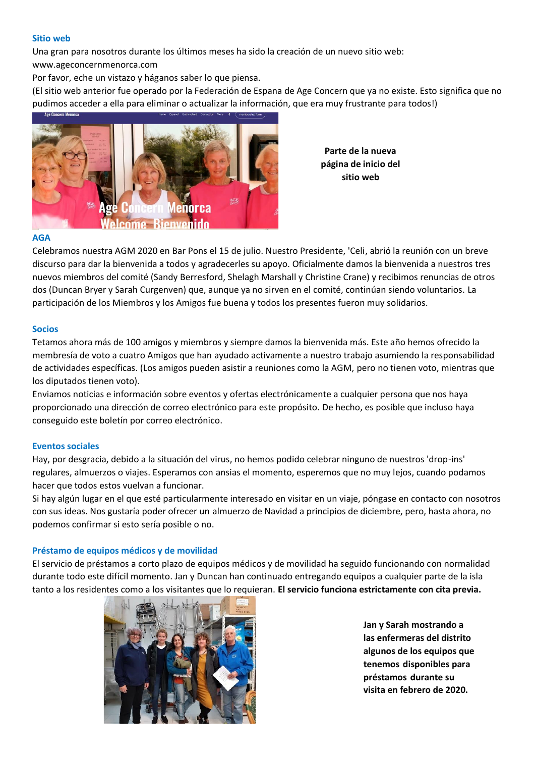#### **Sitio web**

Una gran para nosotros durante los últimos meses ha sido la creación de un nuevo sitio web:

www.ageconcernmenorca.com

Por favor, eche un vistazo y háganos saber lo que piensa.

(El sitio web anterior fue operado por la Federación de Espana de Age Concern que ya no existe. Esto significa que no pudimos acceder a ella para eliminar o actualizar la información, que era muy frustrante para todos!)



**Parte de la nueva página de inicio del sitio web**

### **AGA**

Celebramos nuestra AGM 2020 en Bar Pons el 15 de julio. Nuestro Presidente, 'Celi, abrió la reunión con un breve discurso para dar la bienvenida a todos y agradecerles su apoyo. Oficialmente damos la bienvenida a nuestros tres nuevos miembros del comité (Sandy Berresford, Shelagh Marshall y Christine Crane) y recibimos renuncias de otros dos (Duncan Bryer y Sarah Curgenven) que, aunque ya no sirven en el comité, continúan siendo voluntarios. La participación de los Miembros y los Amigos fue buena y todos los presentes fueron muy solidarios.

### **Socios**

Tetamos ahora más de 100 amigos y miembros y siempre damos la bienvenida más. Este año hemos ofrecido la membresía de voto a cuatro Amigos que han ayudado activamente a nuestro trabajo asumiendo la responsabilidad de actividades específicas. (Los amigos pueden asistir a reuniones como la AGM, pero no tienen voto, mientras que los diputados tienen voto).

Enviamos noticias e información sobre eventos y ofertas electrónicamente a cualquier persona que nos haya proporcionado una dirección de correo electrónico para este propósito. De hecho, es posible que incluso haya conseguido este boletín por correo electrónico.

#### **Eventos sociales**

Hay, por desgracia, debido a la situación del virus, no hemos podido celebrar ninguno de nuestros 'drop-ins' regulares, almuerzos o viajes. Esperamos con ansias el momento, esperemos que no muy lejos, cuando podamos hacer que todos estos vuelvan a funcionar.

Si hay algún lugar en el que esté particularmente interesado en visitar en un viaje, póngase en contacto con nosotros con sus ideas. Nos gustaría poder ofrecer un almuerzo de Navidad a principios de diciembre, pero, hasta ahora, no podemos confirmar si esto sería posible o no.

# **Préstamo de equipos médicos y de movilidad**

El servicio de préstamos a corto plazo de equipos médicos y de movilidad ha seguido funcionando con normalidad durante todo este difícil momento. Jan y Duncan han continuado entregando equipos a cualquier parte de la isla tanto a los residentes como a los visitantes que lo requieran. **El servicio funciona estrictamente con cita previa.**



**Jan y Sarah mostrando a las enfermeras del distrito algunos de los equipos que tenemos disponibles para préstamos durante su visita en febrero de 2020.**